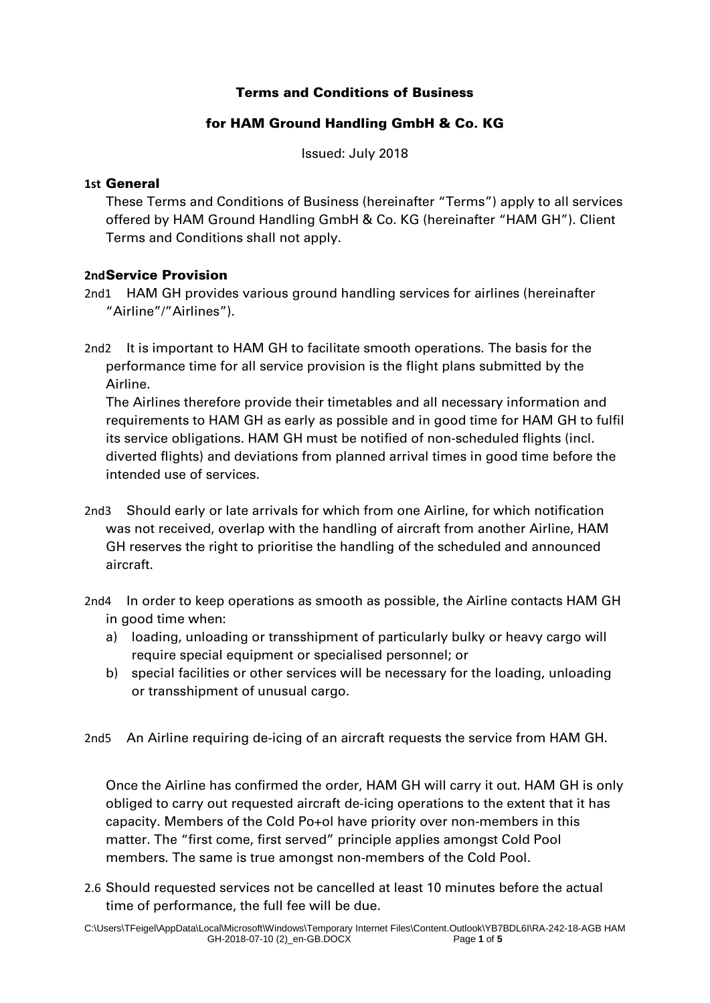### Terms and Conditions of Business

### for HAM Ground Handling GmbH & Co. KG

Issued: July 2018

#### **1st** General

These Terms and Conditions of Business (hereinafter "Terms") apply to all services offered by HAM Ground Handling GmbH & Co. KG (hereinafter "HAM GH"). Client Terms and Conditions shall not apply.

### **2nd**Service Provision

- 2nd1 HAM GH provides various ground handling services for airlines (hereinafter "Airline"/"Airlines").
- 2nd2 It is important to HAM GH to facilitate smooth operations. The basis for the performance time for all service provision is the flight plans submitted by the Airline.

The Airlines therefore provide their timetables and all necessary information and requirements to HAM GH as early as possible and in good time for HAM GH to fulfil its service obligations. HAM GH must be notified of non-scheduled flights (incl. diverted flights) and deviations from planned arrival times in good time before the intended use of services.

- 2nd3 Should early or late arrivals for which from one Airline, for which notification was not received, overlap with the handling of aircraft from another Airline, HAM GH reserves the right to prioritise the handling of the scheduled and announced aircraft.
- 2nd4 In order to keep operations as smooth as possible, the Airline contacts HAM GH in good time when:
	- a) loading, unloading or transshipment of particularly bulky or heavy cargo will require special equipment or specialised personnel; or
	- b) special facilities or other services will be necessary for the loading, unloading or transshipment of unusual cargo.

2nd5 An Airline requiring de-icing of an aircraft requests the service from HAM GH.

Once the Airline has confirmed the order, HAM GH will carry it out. HAM GH is only obliged to carry out requested aircraft de-icing operations to the extent that it has capacity. Members of the Cold Po+ol have priority over non-members in this matter. The "first come, first served" principle applies amongst Cold Pool members. The same is true amongst non-members of the Cold Pool.

2.6 Should requested services not be cancelled at least 10 minutes before the actual time of performance, the full fee will be due.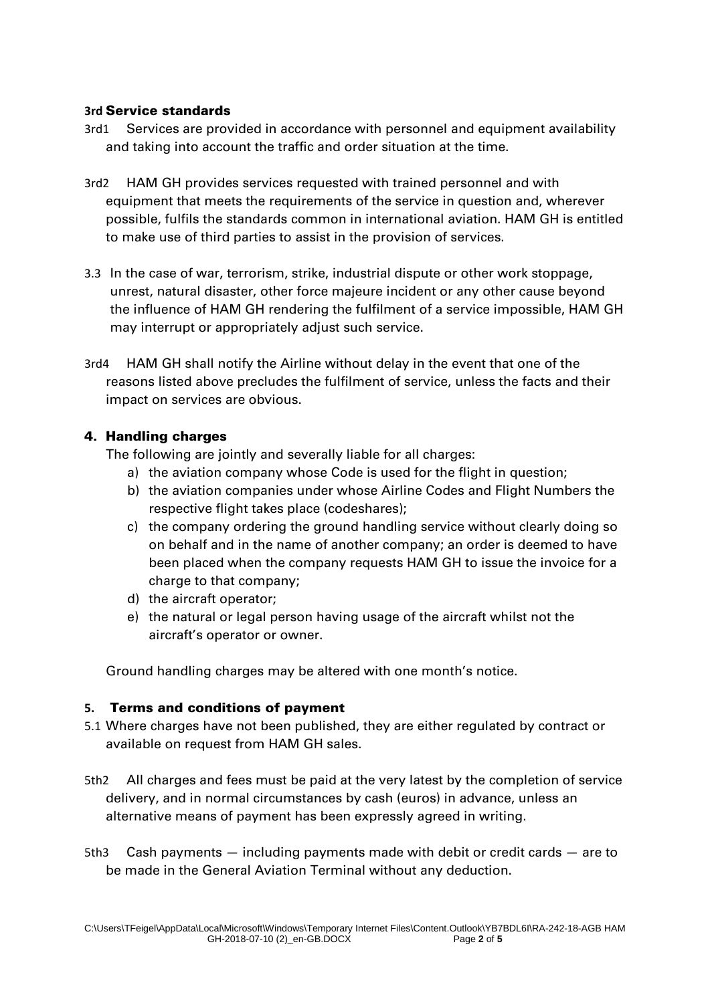### **3rd** Service standards

- 3rd1 Services are provided in accordance with personnel and equipment availability and taking into account the traffic and order situation at the time.
- 3rd2 HAM GH provides services requested with trained personnel and with equipment that meets the requirements of the service in question and, wherever possible, fulfils the standards common in international aviation. HAM GH is entitled to make use of third parties to assist in the provision of services.
- 3.3 In the case of war, terrorism, strike, industrial dispute or other work stoppage, unrest, natural disaster, other force majeure incident or any other cause beyond the influence of HAM GH rendering the fulfilment of a service impossible, HAM GH may interrupt or appropriately adjust such service.
- 3rd4 HAM GH shall notify the Airline without delay in the event that one of the reasons listed above precludes the fulfilment of service, unless the facts and their impact on services are obvious.

## 4. Handling charges

The following are jointly and severally liable for all charges:

- a) the aviation company whose Code is used for the flight in question;
- b) the aviation companies under whose Airline Codes and Flight Numbers the respective flight takes place (codeshares);
- c) the company ordering the ground handling service without clearly doing so on behalf and in the name of another company; an order is deemed to have been placed when the company requests HAM GH to issue the invoice for a charge to that company;
- d) the aircraft operator;
- e) the natural or legal person having usage of the aircraft whilst not the aircraft's operator or owner.

Ground handling charges may be altered with one month's notice.

# **5.** Terms and conditions of payment

- 5.1 Where charges have not been published, they are either regulated by contract or available on request from HAM GH sales.
- 5th2 All charges and fees must be paid at the very latest by the completion of service delivery, and in normal circumstances by cash (euros) in advance, unless an alternative means of payment has been expressly agreed in writing.
- 5th3 Cash payments including payments made with debit or credit cards are to be made in the General Aviation Terminal without any deduction.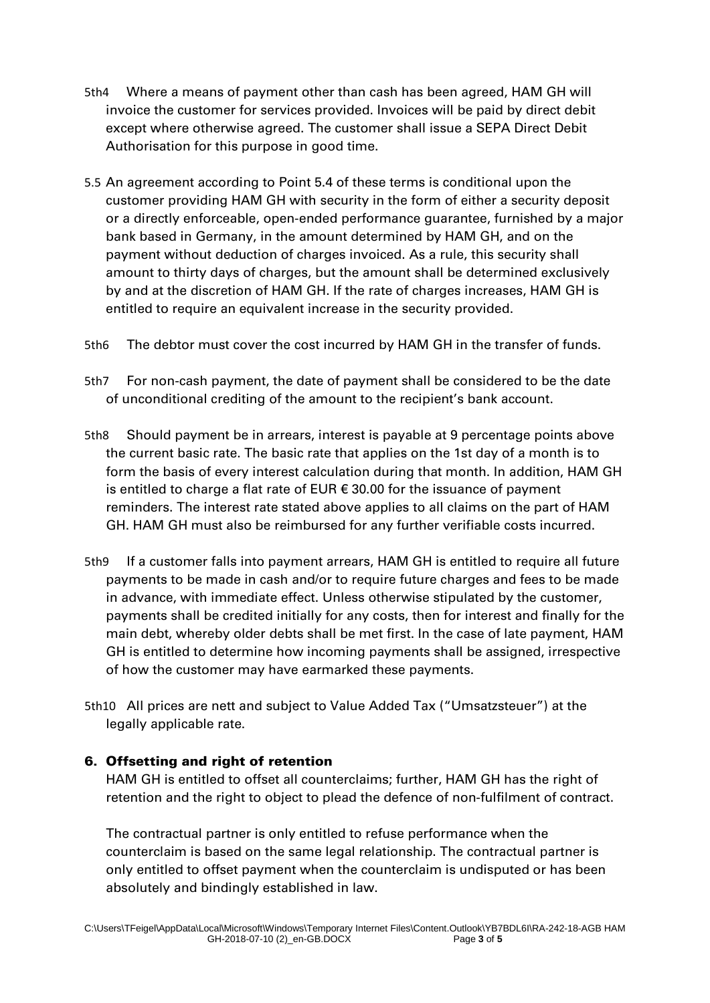- 5th4 Where a means of payment other than cash has been agreed, HAM GH will invoice the customer for services provided. Invoices will be paid by direct debit except where otherwise agreed. The customer shall issue a SEPA Direct Debit Authorisation for this purpose in good time.
- 5.5 An agreement according to Point 5.4 of these terms is conditional upon the customer providing HAM GH with security in the form of either a security deposit or a directly enforceable, open-ended performance guarantee, furnished by a major bank based in Germany, in the amount determined by HAM GH, and on the payment without deduction of charges invoiced. As a rule, this security shall amount to thirty days of charges, but the amount shall be determined exclusively by and at the discretion of HAM GH. If the rate of charges increases, HAM GH is entitled to require an equivalent increase in the security provided.
- 5th6 The debtor must cover the cost incurred by HAM GH in the transfer of funds.
- 5th7 For non-cash payment, the date of payment shall be considered to be the date of unconditional crediting of the amount to the recipient's bank account.
- 5th8 Should payment be in arrears, interest is payable at 9 percentage points above the current basic rate. The basic rate that applies on the 1st day of a month is to form the basis of every interest calculation during that month. In addition, HAM GH is entitled to charge a flat rate of EUR € 30.00 for the issuance of payment reminders. The interest rate stated above applies to all claims on the part of HAM GH. HAM GH must also be reimbursed for any further verifiable costs incurred.
- 5th9 If a customer falls into payment arrears, HAM GH is entitled to require all future payments to be made in cash and/or to require future charges and fees to be made in advance, with immediate effect. Unless otherwise stipulated by the customer, payments shall be credited initially for any costs, then for interest and finally for the main debt, whereby older debts shall be met first. In the case of late payment, HAM GH is entitled to determine how incoming payments shall be assigned, irrespective of how the customer may have earmarked these payments.
- 5th10 All prices are nett and subject to Value Added Tax ("Umsatzsteuer") at the legally applicable rate.

# 6. Offsetting and right of retention

HAM GH is entitled to offset all counterclaims; further, HAM GH has the right of retention and the right to object to plead the defence of non-fulfilment of contract.

The contractual partner is only entitled to refuse performance when the counterclaim is based on the same legal relationship. The contractual partner is only entitled to offset payment when the counterclaim is undisputed or has been absolutely and bindingly established in law.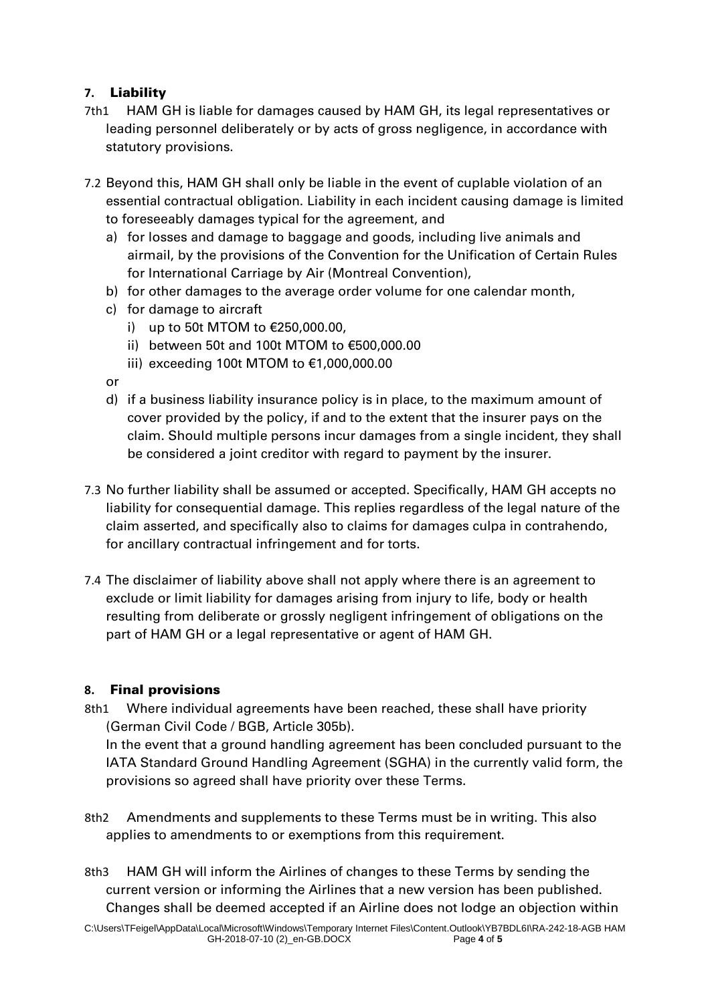## **7.** Liability

- 7th1 HAM GH is liable for damages caused by HAM GH, its legal representatives or leading personnel deliberately or by acts of gross negligence, in accordance with statutory provisions.
- 7.2 Beyond this, HAM GH shall only be liable in the event of cuplable violation of an essential contractual obligation. Liability in each incident causing damage is limited to foreseeably damages typical for the agreement, and
	- a) for losses and damage to baggage and goods, including live animals and airmail, by the provisions of the Convention for the Unification of Certain Rules for International Carriage by Air (Montreal Convention),
	- b) for other damages to the average order volume for one calendar month,
	- c) for damage to aircraft
		- i) up to 50t MTOM to €250,000.00,
		- ii) between 50t and 100t MTOM to €500,000.00
		- iii) exceeding 100t MTOM to €1,000,000.00
	- or
	- d) if a business liability insurance policy is in place, to the maximum amount of cover provided by the policy, if and to the extent that the insurer pays on the claim. Should multiple persons incur damages from a single incident, they shall be considered a joint creditor with regard to payment by the insurer.
- 7.3 No further liability shall be assumed or accepted. Specifically, HAM GH accepts no liability for consequential damage. This replies regardless of the legal nature of the claim asserted, and specifically also to claims for damages culpa in contrahendo, for ancillary contractual infringement and for torts.
- 7.4 The disclaimer of liability above shall not apply where there is an agreement to exclude or limit liability for damages arising from injury to life, body or health resulting from deliberate or grossly negligent infringement of obligations on the part of HAM GH or a legal representative or agent of HAM GH.

### **8.** Final provisions

8th1 Where individual agreements have been reached, these shall have priority (German Civil Code / BGB, Article 305b).

In the event that a ground handling agreement has been concluded pursuant to the IATA Standard Ground Handling Agreement (SGHA) in the currently valid form, the provisions so agreed shall have priority over these Terms.

- 8th2 Amendments and supplements to these Terms must be in writing. This also applies to amendments to or exemptions from this requirement.
- 8th3 HAM GH will inform the Airlines of changes to these Terms by sending the current version or informing the Airlines that a new version has been published. Changes shall be deemed accepted if an Airline does not lodge an objection within